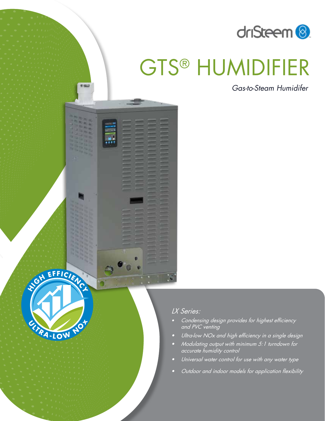

# GTS® HUMIDIFIER

*Gas-to-Steam Humidifer*



n

有 解記

### *LX Series:*

- *• Condensing design provides for highest efficiency and PVC venting*
- *• Ultra-low NOx and high efficiency in a single design*
- *• Modulating output with minimum 5:1 turndown for accurate humidity control*
- *• Universal water control for use with any water type*
- *• Outdoor and indoor models for application flexibility*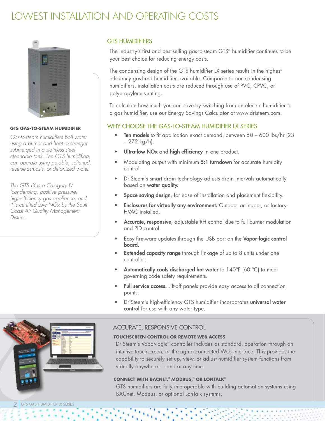### LOWEST INSTALLATION AND OPERATING COSTS



### **GTS GAS-TO-STEAM HUMIDIFIER**

*Gas-to-steam humidifiers boil water using a burner and heat exchanger submerged in a stainless steel cleanable tank. The GTS humidifiers can operate using potable, softened, reverse-osmosis, or deionized water.* 

*The GTS LX is a Category IV (condensing, positive pressure) high-efficiency gas appliance, and it is certified Low NOx by the South Coast Air Quality Management District.*

### GTS HUMIDIFIERS

The industry's first and best-selling gas-to-steam GTS® humidifier continues to be your best choice for reducing energy costs.

The condensing design of the GTS humidifier LX series results in the highest efficiency gas-fired humidifier available. Compared to non-condensing humidifiers, installation costs are reduced through use of PVC, CPVC, or polypropylene venting.

To calculate how much you can save by switching from an electric humidifier to a gas humidifier, use our Energy Savings Calculator at www.dristeem.com.

### WHY CHOOSE THE GAS-TO-STEAM HUMIDIFIER LX SERIES

- Ten models to fit application exact demand, between 50 600 lbs/hr (23) – 272 kg/h).
- Ultra-low NOx and high efficiency in one product.
- Modulating output with minimum 5:1 turndown for accurate humidity control.
- DriSteem's smart drain technology adjusts drain intervals automatically based on water quality.
- Space saving design, for ease of installation and placement flexibility.
- Enclosures for virtually any environment. Outdoor or indoor, or factory-HVAC installed.
- Accurate, responsive, adjustable RH control due to full burner modulation and PID control.
- Easy firmware updates through the USB port on the Vapor-logic control board.
- **Extended capacity range** through linkage of up to 8 units under one controller.
- Automatically cools discharged hot water to 140°F (60 °C) to meet governing code safety requirements.
- Full service access. Lift-off panels provide easy access to all connection points.
- DriSteem's high-efficiency GTS humidifier incorporates universal water control for use with any water type.



### ACCURATE, RESPONSIVE CONTROL

### **TOUCHSCREEN CONTROL OR REMOTE WEB ACCESS**

DriSteem's Vapor-logic® controller includes as standard, operation through an intuitive touchscreen, or through a connected Web interface. This provides the capability to securely set up, view, or adjust humidifier system functions from virtually anywhere — and at any time.

### **CONNECT WITH BACNET,® MODBUS,® OR LONTALK®**

GTS humidifiers are fully interoperable with building automation systems using BACnet, Modbus, or optional LonTalk systems.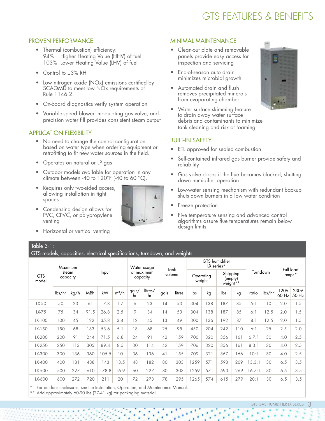## GTS FEATURES & BENEFITS

### PROVEN PERFORMANCE

- Thermal (combustion) efficiency: 94% Higher Heating Value (HHV) of fuel 103% Lower Heating Value (LHV) of fuel
- Control to ±3% RH
- Low nitrogen oxide (NOx) emissions certified by SCAQMD to meet low NOx requirements of Rule 1146.2.
- On-board diagnostics verify system operation
- Variable-speed blower, modulating gas valve, and precision water fill provides consistent steam output

### APPLICATION FLEXIBILITY

- No need to change the control configuration based on water type when ordering equipment or retrofitting to fit new water sources in the field.
- Operates on natural or LP gas
- Outdoor models available for operation in any climate between -40 to 120°F (-40 to 60 °C).
- Requires only two-sided access, allowing installation in tight spaces
- Condensing design allows for PVC, CPVC, or polypropylene venting
- Horizontal or vertical venting

### MINIMAL MAINTENANCE

- Clean-out plate and removable panels provide easy access for inspection and servicing
- End-of-season auto drain minimizes microbial growth
- Automated drain and flush removes precipitated minerals from evaporating chamber
- Water surface skimming feature to drain away water surface debris and contaminants to minimize tank cleaning and risk of foaming.

### BUILT-IN SAFETY

- ETL approved for sealed combustion
- Self-contained infrared gas burner provide safety and reliability
- Gas valve closes if the flue becomes blocked, shutting down humidifier operation
- Low-water sensing mechanism with redundant backup shuts down burners in a low water condition
- Freeze protection
- Five temperature sensing and advanced control algorithms assure flue temperatures remain below design limits.

### Table 3-1:

GTS models, capacities, electrical specifications, turndown, and weights

| <b>GTS</b><br>model | Maximum<br>steam<br>capacity |      |       |       | Water usage<br>at maximum<br>capacity |             | Tank<br>volume |      | GTS humidifier<br>LX series* |      |                                             |     |          |        |                    |               |               |
|---------------------|------------------------------|------|-------|-------|---------------------------------------|-------------|----------------|------|------------------------------|------|---------------------------------------------|-----|----------|--------|--------------------|---------------|---------------|
|                     |                              |      | Input |       |                                       |             |                |      | Operating<br>weight          |      | Shipping<br>(empty)<br>weight <sup>**</sup> |     | Turndown |        | Full load<br>amps* |               |               |
|                     | lbs/hr                       | kg/h | MBh   | kW    | $m^3/h$                               | gals/<br>hr | litres/<br>hr  | gals | litres                       | lbs  | kg                                          | lbs | kg       | ratio  | lbs/hr             | 120V<br>60 Hz | 230V<br>50 Hz |
| $LX-50$             | 50                           | 23   | 61    | 17.8  | 1.7                                   | 6           | 23             | 14   | 53                           | 304  | 138                                         | 187 | 85       | 5:1    | 10                 | 2.0           | 1.5           |
| $LX-75$             | 75                           | 34   | 91.5  | 26.8  | 2.5                                   | 9           | 34             | 14   | 53                           | 304  | 138                                         | 187 | 85       | 6:1    | 12.5               | 2.0           | 1.5           |
| LX-100              | 100                          | 45   | 122   | 35.8  | 3.4                                   | 12          | 45             | 13   | 49                           | 300  | 136                                         | 192 | 87       | 8:1    | 12.5               | 2.0           | 1.5           |
| LX-150              | 150                          | 68   | 183   | 53.6  | 5.1                                   | 18          | 68             | 25   | 95                           | 450  | 204                                         | 242 | 110      | 6:1    | 25                 | 2.5           | 2.0           |
| LX-200              | 200                          | 91   | 244   | 71.5  | 6.8                                   | 24          | 91             | 42   | 159                          | 706  | 320                                         | 356 | 161      | 6.7:1  | 30                 | 4.0           | 2.5           |
| LX-250              | 250                          | 113  | 305   | 89.4  | 8.5                                   | 30          | 114            | 42   | 159                          | 706  | 320                                         | 356 | 161      | 8.3:1  | 30                 | 4.0           | 2.5           |
| LX-300              | 300                          | 136  | 360   | 05.5  | 10                                    | 36          | 136            | 41   | 155                          | 709  | 321                                         | 367 | 166      | 10:1   | 30                 | 4.0           | 2.5           |
| LX-400              | 400                          | 181  | 488   | 143   | 13.5                                  | 48          | 182            | 80   | 303                          | 1259 | 571                                         | 593 | 269      | 13.3:1 | 30                 | 6.5           | 3.5           |
| LX-500              | 500                          | 227  | 610   | 178.8 | 16.9                                  | 60          | 227            | 80   | 303                          | 1259 | 571                                         | 593 | 269      | 6.7:1  | 30                 | 6.5           | 3.5           |
| LX-600              | 600                          | 272  | 720   | 211   | 20                                    | 72          | 273            | 78   | 295                          | 1265 | 574                                         | 615 | 279      | 20:1   | 30                 | 6.5           | 3.5           |

For outdoor enclosures, see the Installation, Operation, and Maintenance Manual.

Add approximately 60-90 lbs (27-41 kg) for packaging material.